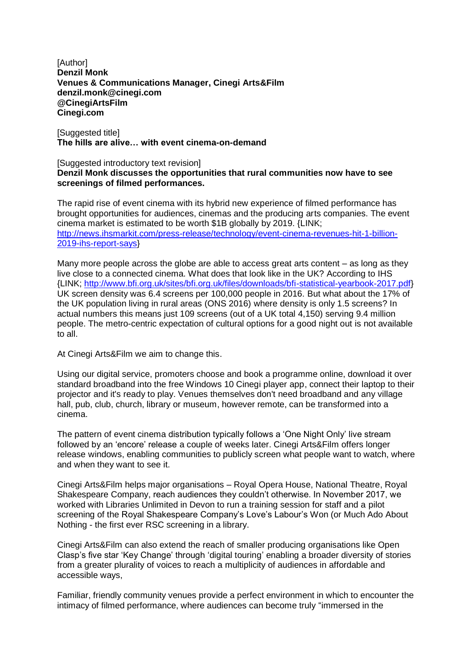[Author] **Denzil Monk Venues & Communications Manager, Cinegi Arts&Film denzil.monk@cinegi.com @CinegiArtsFilm Cinegi.com**

[Suggested title] **The hills are alive… with event cinema-on-demand**

## [Suggested introductory text revision] **Denzil Monk discusses the opportunities that rural communities now have to see screenings of filmed performances.**

The rapid rise of event cinema with its hybrid new experience of filmed performance has brought opportunities for audiences, cinemas and the producing arts companies. The event cinema market is estimated to be worth \$1B globally by 2019. {LINK; [http://news.ihsmarkit.com/press-release/technology/event-cinema-revenues-hit-1-billion-](http://news.ihsmarkit.com/press-release/technology/event-cinema-revenues-hit-1-billion-2019-ihs-report-says)[2019-ihs-report-says}](http://news.ihsmarkit.com/press-release/technology/event-cinema-revenues-hit-1-billion-2019-ihs-report-says)

Many more people across the globe are able to access great arts content – as long as they live close to a connected cinema. What does that look like in the UK? According to IHS {LINK; [http://www.bfi.org.uk/sites/bfi.org.uk/files/downloads/bfi-statistical-yearbook-2017.pdf}](http://www.bfi.org.uk/sites/bfi.org.uk/files/downloads/bfi-statistical-yearbook-2017.pdf) UK screen density was 6.4 screens per 100,000 people in 2016. But what about the 17% of the UK population living in rural areas (ONS 2016) where density is only 1.5 screens? In actual numbers this means just 109 screens (out of a UK total 4,150) serving 9.4 million people. The metro-centric expectation of cultural options for a good night out is not available to all.

At Cinegi Arts&Film we aim to change this.

Using our digital service, promoters choose and book a programme online, download it over standard broadband into the free Windows 10 Cinegi player app, connect their laptop to their projector and it's ready to play. Venues themselves don't need broadband and any village hall, pub, club, church, library or museum, however remote, can be transformed into a cinema.

The pattern of event cinema distribution typically follows a 'One Night Only' live stream followed by an 'encore' release a couple of weeks later. Cinegi Arts&Film offers longer release windows, enabling communities to publicly screen what people want to watch, where and when they want to see it.

Cinegi Arts&Film helps major organisations – Royal Opera House, National Theatre, Royal Shakespeare Company, reach audiences they couldn't otherwise. In November 2017, we worked with Libraries Unlimited in Devon to run a training session for staff and a pilot screening of the Royal Shakespeare Company's Love's Labour's Won (or Much Ado About Nothing - the first ever RSC screening in a library.

Cinegi Arts&Film can also extend the reach of smaller producing organisations like Open Clasp's five star 'Key Change' through 'digital touring' enabling a broader diversity of stories from a greater plurality of voices to reach a multiplicity of audiences in affordable and accessible ways,

Familiar, friendly community venues provide a perfect environment in which to encounter the intimacy of filmed performance, where audiences can become truly "immersed in the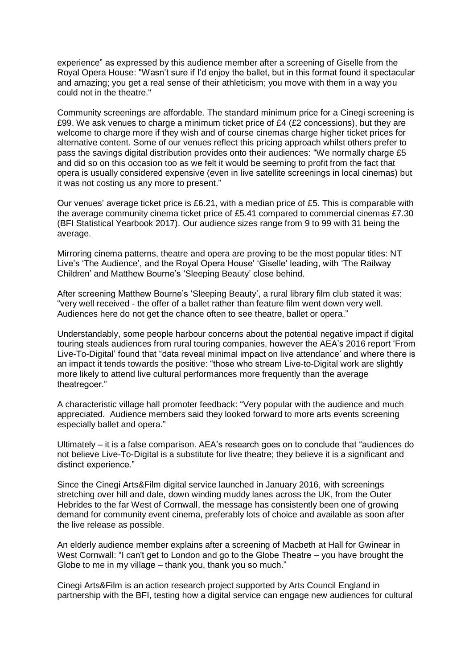experience" as expressed by this audience member after a screening of Giselle from the Royal Opera House: "Wasn't sure if I'd enjoy the ballet, but in this format found it spectacular and amazing; you get a real sense of their athleticism; you move with them in a way you could not in the theatre."

Community screenings are affordable. The standard minimum price for a Cinegi screening is £99. We ask venues to charge a minimum ticket price of  $£4$  (£2 concessions), but they are welcome to charge more if they wish and of course cinemas charge higher ticket prices for alternative content. Some of our venues reflect this pricing approach whilst others prefer to pass the savings digital distribution provides onto their audiences: "We normally charge £5 and did so on this occasion too as we felt it would be seeming to profit from the fact that opera is usually considered expensive (even in live satellite screenings in local cinemas) but it was not costing us any more to present."

Our venues' average ticket price is £6.21, with a median price of £5. This is comparable with the average community cinema ticket price of £5.41 compared to commercial cinemas £7.30 (BFI Statistical Yearbook 2017). Our audience sizes range from 9 to 99 with 31 being the average.

Mirroring cinema patterns, theatre and opera are proving to be the most popular titles: NT Live's 'The Audience', and the Royal Opera House' 'Giselle' leading, with 'The Railway Children' and Matthew Bourne's 'Sleeping Beauty' close behind.

After screening Matthew Bourne's 'Sleeping Beauty', a rural library film club stated it was: "very well received - the offer of a ballet rather than feature film went down very well. Audiences here do not get the chance often to see theatre, ballet or opera."

Understandably, some people harbour concerns about the potential negative impact if digital touring steals audiences from rural touring companies, however the AEA's 2016 report 'From Live-To-Digital' found that "data reveal minimal impact on live attendance' and where there is an impact it tends towards the positive: "those who stream Live-to-Digital work are slightly more likely to attend live cultural performances more frequently than the average theatregoer."

A characteristic village hall promoter feedback: "Very popular with the audience and much appreciated. Audience members said they looked forward to more arts events screening especially ballet and opera."

Ultimately – it is a false comparison. AEA's research goes on to conclude that "audiences do not believe Live-To-Digital is a substitute for live theatre; they believe it is a significant and distinct experience."

Since the Cinegi Arts&Film digital service launched in January 2016, with screenings stretching over hill and dale, down winding muddy lanes across the UK, from the Outer Hebrides to the far West of Cornwall, the message has consistently been one of growing demand for community event cinema, preferably lots of choice and available as soon after the live release as possible.

An elderly audience member explains after a screening of Macbeth at Hall for Gwinear in West Cornwall: "I can't get to London and go to the Globe Theatre – you have brought the Globe to me in my village – thank you, thank you so much."

Cinegi Arts&Film is an action research project supported by Arts Council England in partnership with the BFI, testing how a digital service can engage new audiences for cultural